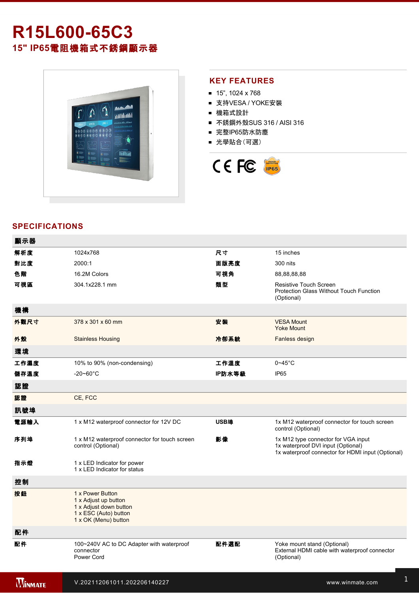# **R15L60065C3 15" IP65**電阻機箱式不銹鋼顯示器



### **KEY FEATURES**

- $15$ ", 1024 x 768
- 支持VESA / YOKE安裝
- 機箱式設計
- 不銹鋼外殼SUS 316 / AISI 316
- 完整IP65防水防塵
- 光學貼合(可選)



## **SPECIFICATIONS**

| 顯示器            |                                                                                                                     |        |                                                                                                                                |
|----------------|---------------------------------------------------------------------------------------------------------------------|--------|--------------------------------------------------------------------------------------------------------------------------------|
| 解析度            | 1024x768                                                                                                            | 尺寸     | 15 inches                                                                                                                      |
| 對比度            | 2000:1                                                                                                              | 面版亮度   | 300 nits                                                                                                                       |
| 色階             | 16.2M Colors                                                                                                        | 可視角    | 88,88,88,88                                                                                                                    |
| 可視區            | 304.1x228.1 mm                                                                                                      | 類型     | Resistive Touch Screen<br><b>Protection Glass Without Touch Function</b><br>(Optional)                                         |
| 機構             |                                                                                                                     |        |                                                                                                                                |
| 外觀尺寸           | 378 x 301 x 60 mm                                                                                                   | 安装     | <b>VESA Mount</b><br><b>Yoke Mount</b>                                                                                         |
| 外殼             | <b>Stainless Housing</b>                                                                                            | 冷卻系統   | Fanless design                                                                                                                 |
| 環境             |                                                                                                                     |        |                                                                                                                                |
| 工作濕度           | 10% to 90% (non-condensing)                                                                                         | 工作溫度   | $0 - 45$ °C                                                                                                                    |
| 儲存溫度           | $-20 - 60^{\circ}$ C                                                                                                | IP防水等級 | <b>IP65</b>                                                                                                                    |
| 認證             |                                                                                                                     |        |                                                                                                                                |
| 認證             | CE, FCC                                                                                                             |        |                                                                                                                                |
| 訊號埠            |                                                                                                                     |        |                                                                                                                                |
| 電源輸入           | 1 x M12 waterproof connector for 12V DC                                                                             | USB埠   | 1x M12 waterproof connector for touch screen<br>control (Optional)                                                             |
| 序列埠            | 1 x M12 waterproof connector for touch screen<br>control (Optional)                                                 | 影像     | 1x M12 type connector for VGA input<br>1x waterproof DVI input (Optional)<br>1x waterproof connector for HDMI input (Optional) |
| 指示燈            | 1 x LED Indicator for power<br>1 x LED Indicator for status                                                         |        |                                                                                                                                |
| 控制             |                                                                                                                     |        |                                                                                                                                |
| 按鈕             | 1 x Power Button<br>1 x Adjust up button<br>1 x Adjust down button<br>1 x ESC (Auto) button<br>1 x OK (Menu) button |        |                                                                                                                                |
| 配件             |                                                                                                                     |        |                                                                                                                                |
| 配件             | 100~240V AC to DC Adapter with waterproof<br>connector<br>Power Cord                                                | 配件選配   | Yoke mount stand (Optional)<br>External HDMI cable with waterproof connector<br>(Optional)                                     |
| <b>WINMATE</b> | V.202112061011.202206140227                                                                                         |        | www.winmate.com                                                                                                                |

 $\mathbb{R}^3$ 232 cable with waterproof connector with waterproof connector  $\mathbb{R}^3$